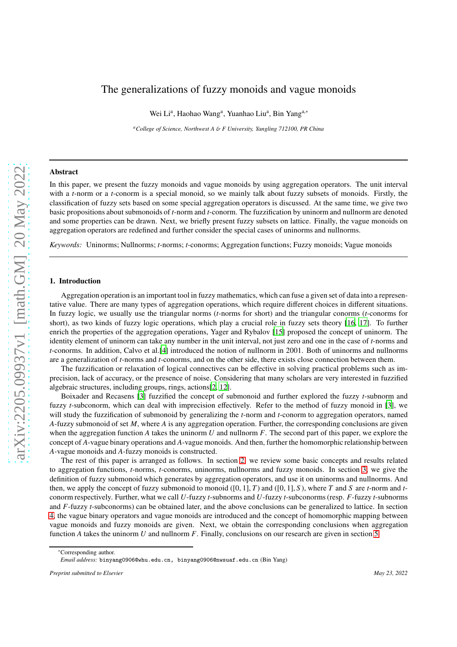# The generalizations of fuzzy monoids and vague monoids

Wei Li<sup>a</sup>, Haohao Wang<sup>a</sup>, Yuanhao Liu<sup>a</sup>, Bin Yang<sup>a,\*</sup>

*<sup>a</sup>College of Science, Northwest A* & *F University, Yangling 712100, PR China*

#### Abstract

In this paper, we present the fuzzy monoids and vague monoids by using aggregation operators. The unit interval with a *t*-norm or a *t*-conorm is a special monoid, so we mainly talk about fuzzy subsets of monoids. Firstly, the classification of fuzzy sets based on some special aggregation operators is discussed. At the same time, we give two basic propositions about submonoids of *t*-norm and *t*-conorm. The fuzzification by uninorm and nullnorm are denoted and some properties can be drawn. Next, we briefly present fuzzy subsets on lattice. Finally, the vague monoids on aggregation operators are redefined and further consider the special cases of uninorms and nullnorms.

*Keywords:* Uninorms; Nullnorms; *t*-norms; *t*-conorms; Aggregation functions; Fuzzy monoids; Vague monoids

# 1. Introduction

Aggregation operation is an important tool in fuzzy mathematics, which can fuse a given set of data into a representative value. There are many types of aggregation operations, which require different choices in different situations. In fuzzy logic, we usually use the triangular norms (*t*-norms for short) and the triangular conorms (*t*-conorms for short), as two kinds of fuzzy logic operations, which play a crucial role in fuzzy sets theory [\[16,](#page-19-0) [17\]](#page-19-1). To further enrich the properties of the aggregation operations, Yager and Rybalov [\[15\]](#page-19-2) proposed the concept of uninorm. The identity element of uninorm can take any number in the unit interval, not just zero and one in the case of *t*-norms and *t*-conorms. In addition, Calvo et al.[\[4\]](#page-19-3) introduced the notion of nullnorm in 2001. Both of uninorms and nullnorms are a generalization of *t*-norms and *t*-conorms, and on the other side, there exists close connection between them.

The fuzzification or relaxation of logical connectives can be effective in solving practical problems such as imprecision, lack of accuracy, or the presence of noise. Considering that many scholars are very interested in fuzzified algebraic structures, including groups, rings, actions[\[2,](#page-19-4) [12\]](#page-19-5).

Boixader and Recasens [\[3\]](#page-19-6) fuzzified the concept of submonoid and further explored the fuzzy *t*-subnorm and fuzzy *t*-subconorm, which can deal with imprecision effectively. Refer to the method of fuzzy monoid in [\[3\]](#page-19-6), we will study the fuzzification of submonoid by generalizing the *t*-norm and *t*-conorm to aggregation operators, named *A*-fuzzy submonoid of set *M*, where *A* is any aggregation operation. Further, the corresponding conclusions are given when the aggregation function *A* takes the uninorm *U* and nullnorm *F*. The second part of this paper, we explore the concept of *A*-vague binary operations and *A*-vague monoids. And then, further the homomorphic relationship between *A*-vague monoids and *A*-fuzzy monoids is constructed.

The rest of this paper is arranged as follows. In section [2,](#page-1-0) we review some basic concepts and results related to aggregation functions, *t*-norms, *t*-conorms, uninorms, nullnorms and fuzzy monoids. In section [3,](#page-4-0) we give the definition of fuzzy submonoid which generates by aggregation operators, and use it on uninorms and nullnorms. And then, we apply the concept of fuzzy submonoid to monoid  $([0, 1], T)$  and  $([0, 1], S)$ , where *T* and *S* are *t*-norm and *t*conorm respectively. Further, what we call *U*-fuzzy *t*-subnorms and *U*-fuzzy *t*-subconorms (resp. *F*-fuzzy *t*-subnorms and *F*-fuzzy *t*-subconorms) can be obtained later, and the above conclusions can be generalized to lattice. In section [4,](#page-12-0) the vague binary operators and vague monoids are introduced and the concept of homomorphic mapping between vague monoids and fuzzy monoids are given. Next, we obtain the corresponding conclusions when aggregation function *A* takes the uninorm *U* and nullnorm *F*. Finally, conclusions on our research are given in section [5.](#page-18-0)

<sup>∗</sup>Corresponding author.

*Email address:* binyang0906@whu.edu.cn, binyang0906@nwsuaf.edu.cn (Bin Yang)

*Preprint submitted to Elsevier May 23, 2022*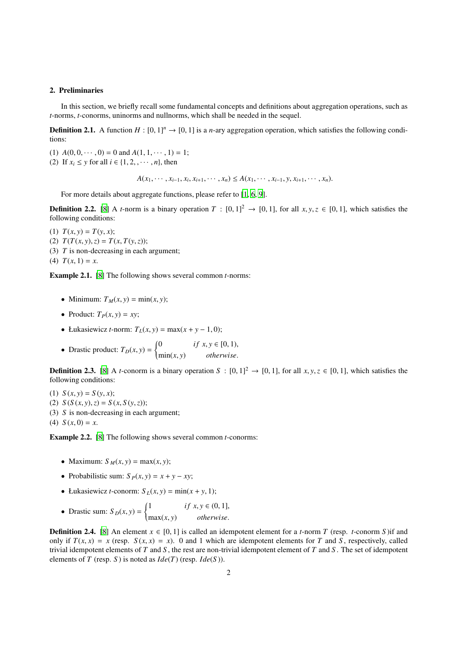# <span id="page-1-0"></span>2. Preliminaries

In this section, we briefly recall some fundamental concepts and definitions about aggregation operations, such as *t*-norms, *t*-conorms, uninorms and nullnorms, which shall be needed in the sequel.

**Definition 2.1.** A function  $H : [0, 1]^n \to [0, 1]$  is a *n*-ary aggregation operation, which satisfies the following conditions:

(1)  $A(0, 0, \dots, 0) = 0$  and  $A(1, 1, \dots, 1) = 1$ ; (2) If  $x_i \leq y$  for all  $i \in \{1, 2, \dots, n\}$ , then

 $A(x_1, \dots, x_{i-1}, x_i, x_{i+1}, \dots, x_n) \leq A(x_1, \dots, x_{i-1}, y, x_{i+1}, \dots, x_n).$ 

For more details about aggregate functions, please refer to [\[1](#page-19-7), [6](#page-19-8), [9](#page-19-9)].

**Definition 2.2.** [\[8\]](#page-19-10) A *t*-norm is a binary operation  $T : [0, 1]^2 \rightarrow [0, 1]$ , for all  $x, y, z \in [0, 1]$ , which satisfies the following conditions:

- (1)  $T(x, y) = T(y, x);$
- (2) *T*(*T*(*x*, *y*),*z*) = *T*(*x*, *T*(*y*,*z*));
- (3) *T* is non-decreasing in each argument;
- (4)  $T(x, 1) = x$ .

Example 2.1. [\[8\]](#page-19-10) The following shows several common *t*-norms:

- Minimum:  $T_M(x, y) = \min(x, y)$ ;
- Product:  $T_P(x, y) = xy$ ;
- Łukasiewicz *t*-norm:  $T_L(x, y) = \max(x + y 1, 0)$
- Drastic product:  $T_D(x, y) = \begin{cases} 1 & \text{if } D(D) \leq D(D) \end{cases}$  $\overline{\mathcal{L}}$ 0 *if*  $x, y \in [0, 1)$ , min(*x*, *y*) *otherwise*.

**Definition 2.3.** [\[8](#page-19-10)] A *t*-conorm is a binary operation  $S : [0, 1]^2 \rightarrow [0, 1]$ , for all  $x, y, z \in [0, 1]$ , which satisfies the following conditions:

(1)  $S(x, y) = S(y, x);$ 

- (2)  $S(S(x, y), z) = S(x, S(y, z));$
- (3) *S* is non-decreasing in each argument;
- (4)  $S(x, 0) = x$ .

Example 2.2. [\[8\]](#page-19-10) The following shows several common *t*-conorms:

- Maximum:  $S_M(x, y) = \max(x, y)$ ;
- Probabilistic sum:  $S_P(x, y) = x + y xy$ ;
- Łukasiewicz *t*-conorm:  $S_L(x, y) = min(x + y, 1);$
- Drastic sum:  $S_D(x, y) = \begin{cases}$  $\overline{\mathcal{L}}$ 1 *if*  $x, y \in (0, 1]$ , max(*x*, *y*) *otherwise*.

**Definition 2.4.** [\[8](#page-19-10)] An element  $x \in [0, 1]$  is called an idempotent element for a *t*-norm *T* (resp. *t*-conorm *S*) if and only if  $T(x, x) = x$  (resp.  $S(x, x) = x$ ). 0 and 1 which are idempotent elements for *T* and *S*, respectively, called trivial idempotent elements of *T* and *S* , the rest are non-trivial idempotent element of *T* and *S* . The set of idempotent elements of *T* (resp. *S*) is noted as  $Ide(T)$  (resp.  $Ide(S)$ ).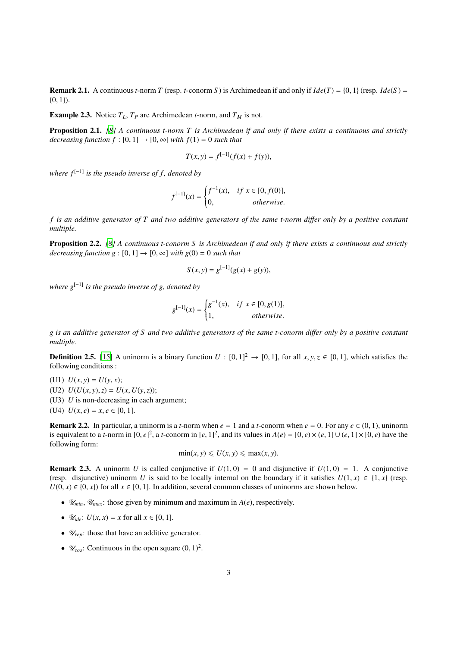**Remark 2.1.** A continuous *t*-norm *T* (resp. *t*-conorm *S*) is Archimedean if and only if  $Ide(T) = \{0, 1\}$  (resp.  $Ide(S) =$  $\{0, 1\}.$ 

**Example 2.3.** Notice  $T_L$ ,  $T_P$  are Archimedean *t*-norm, and  $T_M$  is not.

Proposition 2.1. *[\[8](#page-19-10)] A continuous t-norm T is Archimedean if and only if there exists a continuous and strictly decreasing function*  $f : [0, 1] \rightarrow [0, \infty]$  *with*  $f(1) = 0$  *such that* 

$$
T(x, y) = f^{[-1]}(f(x) + f(y)),
$$

*where*  $f^{[-1]}$  *is the pseudo inverse of f, denoted by* 

$$
f^{[-1]}(x) = \begin{cases} f^{-1}(x), & if \ x \in [0, f(0)], \\ 0, & otherwise. \end{cases}
$$

*f is an additive generator of T and two additive generators of the same t-norm di*ff*er only by a positive constant multiple.*

Proposition 2.2. *[\[8](#page-19-10)] A continuous t-conorm S is Archimedean if and only if there exists a continuous and strictly decreasing function g* :  $[0, 1] \rightarrow [0, \infty]$  *with g*(0) = 0 *such that* 

$$
S(x, y) = g^{[-1]}(g(x) + g(y)),
$$

*where*  $g^{[-1]}$  *is the pseudo inverse of g, denoted by* 

$$
g^{[-1]}(x) = \begin{cases} g^{-1}(x), & \text{if } x \in [0, g(1)], \\ 1, & \text{otherwise.} \end{cases}
$$

*g is an additive generator of S and two additive generators of the same t-conorm di*ff*er only by a positive constant multiple.*

**Definition 2.5.** [\[15\]](#page-19-2) A uninorm is a binary function  $U : [0, 1]^2 \rightarrow [0, 1]$ , for all  $x, y, z \in [0, 1]$ , which satisfies the following conditions :

(U1)  $U(x, y) = U(y, x);$ 

(U2)  $U(U(x, y), z) = U(x, U(y, z));$ 

(U3) *U* is non-decreasing in each argument;

(U4)  $U(x, e) = x, e \in [0, 1].$ 

**Remark 2.2.** In particular, a uninorm is a *t*-norm when  $e = 1$  and a *t*-conorm when  $e = 0$ . For any  $e \in (0, 1)$ , uninorm is equivalent to a *t*-norm in  $[0, e]^2$ , a *t*-conorm in  $[e, 1]^2$ , and its values in  $A(e) = [0, e) \times (e, 1] \cup (e, 1] \times [0, e)$  have the following form:

$$
\min(x, y) \leq U(x, y) \leq \max(x, y).
$$

**Remark 2.3.** A uninorm *U* is called conjunctive if  $U(1,0) = 0$  and disjunctive if  $U(1,0) = 1$ . A conjunctive (resp. disjunctive) uninorm *U* is said to be locally internal on the boundary if it satisfies  $U(1, x) \in \{1, x\}$  (resp.  $U(0, x) \in \{0, x\}$  for all  $x \in [0, 1]$ . In addition, several common classes of uninorms are shown below.

- $\mathcal{U}_{min}$ ,  $\mathcal{U}_{max}$ : those given by minimum and maximum in  $A(e)$ , respectively.
- $\mathcal{U}_{ide}$ :  $U(x, x) = x$  for all  $x \in [0, 1]$ .
- $\mathcal{U}_{rep}$ : those that have an additive generator.
- $\mathscr{U}_{\text{cos}}$ : Continuous in the open square  $(0, 1)^2$ .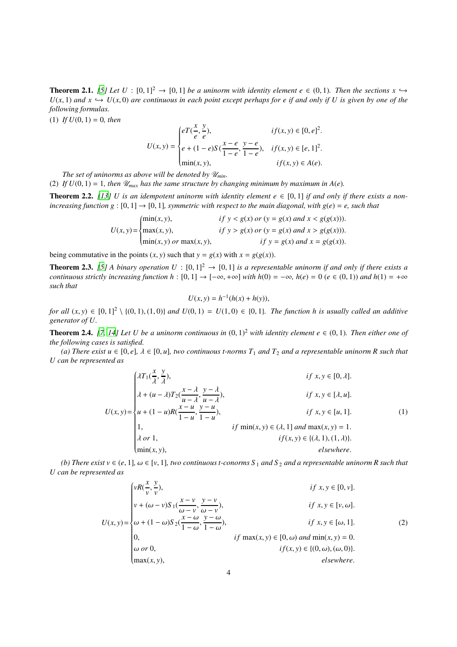**Theorem 2.1.** *[\[5\]](#page-19-11)* Let  $U : [0, 1]^2 \rightarrow [0, 1]$  *be a uninorm with identity element e*  $\in (0, 1)$ *. Then the sections*  $x \rightarrow$  $U(x, 1)$  *and*  $x \hookrightarrow U(x, 0)$  *are continuous in each point except perhaps for e if and only if U is given by one of the following formulas.*

(1) *If*  $U(0, 1) = 0$ *, then* 

$$
U(x, y) = \begin{cases} eT(\frac{x}{e}, \frac{y}{e}), & if(x, y) \in [0, e]^2, \\ e + (1 - e)S(\frac{x - e}{1 - e}, \frac{y - e}{1 - e}), & if(x, y) \in [e, 1]^2, \\ \min(x, y), & if(x, y) \in A(e). \end{cases}
$$

*The set of uninorms as above will be denoted by*  $\mathcal{U}_{min}$ *.* 

(2) If  $U(0, 1) = 1$ , then  $\mathcal{U}_{max}$  has the same structure by changing minimum by maximum in  $A(e)$ .

**Theorem 2.2.** [\[13\]](#page-19-12) *U* is an idempotent uninorm with identity element  $e \in [0,1]$  if and only if there exists a non*increasing function g* :  $[0, 1] \rightarrow [0, 1]$ *, symmetric with respect to the main diagonal, with g(e)* = *e, such that* 

$$
U(x, y) = \begin{cases} \min(x, y), & \text{if } y < g(x) \text{ or } (y = g(x) \text{ and } x < g(g(x))).\\ \max(x, y), & \text{if } y > g(x) \text{ or } (y = g(x) \text{ and } x > g(g(x))).\\ \min(x, y) \text{ or } \max(x, y), & \text{if } y = g(x) \text{ and } x = g(g(x)). \end{cases}
$$

being commutative in the points  $(x, y)$  such that  $y = g(x)$  with  $x = g(g(x))$ .

**Theorem 2.3.** [\[5\]](#page-19-11) A binary operation  $U : [0, 1]^2 \rightarrow [0, 1]$  is a representable uninorm if and only if there exists a *continuous strictly increasing function*  $h : [0, 1] \to [-\infty, +\infty]$  *<i>with*  $h(0) = -\infty$ *,*  $h(e) = 0$  ( $e \in (0, 1)$ ) and  $h(1) = +\infty$ *such that*

$$
U(x, y) = h^{-1}(h(x) + h(y)),
$$

*for all*  $(x, y)$  ∈  $[0, 1]^2 \setminus \{(0, 1), (1, 0)\}$  *and*  $U(0, 1) = U(1, 0)$  ∈  $\{0, 1\}$ *. The function h is usually called an additive generator of U.*

**Theorem 2.4.** [\[7](#page-19-13), [14](#page-19-14)] Let U be a uninorm continuous in  $(0, 1)^2$  with identity element  $e \in (0, 1)$ . Then either one of *the following cases is satisfied.*

*(a)* There exist  $u \in [0, e]$ ,  $\lambda \in [0, u]$ , two continuous t-norms  $T_1$  and  $T_2$  and a representable uninorm R such that *U can be represented as*

<span id="page-3-0"></span>
$$
U(x,y) = \begin{cases} \lambda T_1(\frac{x}{\lambda}, \frac{y}{\lambda}), & \text{if } x, y \in [0, \lambda].\\ \lambda + (u - \lambda)T_2(\frac{x - \lambda}{u - \lambda}, \frac{y - \lambda}{u - \lambda}), & \text{if } x, y \in [\lambda, u].\\ u + (1 - u)R(\frac{x - u}{1 - u}, \frac{y - u}{1 - u}), & \text{if } x, y \in [u, 1].\\ 1, & \text{if } \min(x, y) \in (\lambda, 1] \text{ and } \max(x, y) = 1.\\ \lambda \text{ or } 1, & \text{if } f(x, y) \in \{(\lambda, 1), (1, \lambda)\}.\\ \min(x, y), & \text{elsewhere.} \end{cases} \tag{1}
$$

*(b)* There exist  $v \in (e, 1]$ ,  $\omega \in [v, 1]$ , two continuous t-conorms S<sub>1</sub> and S<sub>2</sub> and a representable uninorm R such that *U can be represented as*

<span id="page-3-1"></span>
$$
U(x, y) = \begin{cases} vR(\frac{x}{v}, \frac{y}{v}), & \text{if } x, y \in [0, v]. \\ v + (\omega - v)S_1(\frac{x - v}{\omega - v}, \frac{y - v}{\omega - v}), & \text{if } x, y \in [v, \omega]. \\ \omega + (1 - \omega)S_2(\frac{x - \omega}{1 - \omega}, \frac{y - \omega}{1 - \omega}), & \text{if } x, y \in [\omega, 1]. \\ 0, & \text{if } \max(x, y) \in [0, \omega) \text{ and } \min(x, y) = 0. \\ \omega \text{ or } 0, & \text{if } (x, y) \in \{(0, \omega), (\omega, 0)\}. \\ \max(x, y), & \text{elsewhere.} \end{cases}
$$
(2)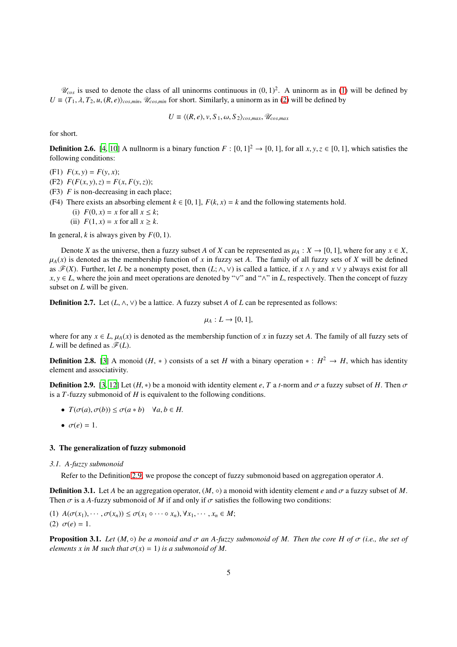$\mathcal{U}_{cos}$  is used to denote the class of all uninorms continuous in  $(0, 1)^2$ . A uninorm as in [\(1\)](#page-3-0) will be defined by  $U = \langle T_1, \lambda, T_2, u, (R, e) \rangle_{cos, min}$ ,  $\mathcal{U}_{cos, min}$  for short. Similarly, a uninorm as in [\(2\)](#page-3-1) will be defined by

$$
U \equiv \langle (R, e), v, S_1, \omega, S_2 \rangle_{cos,max}, \mathscr{U}_{cos,max}
$$

for short.

**Definition 2.6.** [\[4,](#page-19-3) [10\]](#page-19-15) A nullnorm is a binary function  $F : [0, 1]^2 \rightarrow [0, 1]$ , for all  $x, y, z \in [0, 1]$ , which satisfies the following conditions:

- (F1)  $F(x, y) = F(y, x);$
- (F2)  $F(F(x, y), z) = F(x, F(y, z));$
- (F3) *F* is non-decreasing in each place;
- (F4) There exists an absorbing element  $k \in [0, 1]$ ,  $F(k, x) = k$  and the following statements hold.
	- (i)  $F(0, x) = x$  for all  $x \leq k$ ;
	- (ii)  $F(1, x) = x$  for all  $x \ge k$ .

In general,  $k$  is always given by  $F(0, 1)$ .

Denote *X* as the universe, then a fuzzy subset *A* of *X* can be represented as  $\mu_A : X \to [0, 1]$ , where for any  $x \in X$ ,  $\mu_A(x)$  is denoted as the membership function of *x* in fuzzy set *A*. The family of all fuzzy sets of *X* will be defined as  $\mathscr{F}(X)$ . Further, let *L* be a nonempty poset, then  $(L; \wedge, \vee)$  is called a lattice, if  $x \wedge y$  and  $x \vee y$  always exist for all  $x, y \in L$ , where the join and meet operations are denoted by " $\vee$ " and " $\wedge$ " in *L*, respectively. Then the concept of fuzzy subset on *L* will be given.

**Definition 2.7.** Let  $(L, \wedge, \vee)$  be a lattice. A fuzzy subset A of L can be represented as follows:

$$
\mu_A: L \to [0,1],
$$

where for any  $x \in L$ ,  $\mu_A(x)$  is denoted as the membership function of *x* in fuzzy set *A*. The family of all fuzzy sets of *L* will be defined as  $\mathscr{F}(L)$ .

**Definition 2.8.** [\[3\]](#page-19-6) A monoid  $(H, *)$  consists of a set *H* with a binary operation  $* : H^2 \to H$ , which has identity element and associativity.

<span id="page-4-1"></span>**Definition 2.9.** [\[3](#page-19-6), [12](#page-19-5)] Let  $(H, *)$  be a monoid with identity element  $e, T$  a *t*-norm and  $\sigma$  a fuzzy subset of *H*. Then  $\sigma$ is a *T*-fuzzy submonoid of *H* is equivalent to the following conditions.

- $T(\sigma(a), \sigma(b)) \leq \sigma(a * b)$   $\forall a, b \in H$ .
- $\bullet \ \sigma(e) = 1.$

#### <span id="page-4-0"></span>3. The generalization of fuzzy submonoid

#### *3.1. A-fuzzy submonoid*

Refer to the Definition [2.9,](#page-4-1) we propose the concept of fuzzy submonoid based on aggregation operator *A*.

**Definition 3.1.** Let *A* be an aggregation operator,  $(M, \circ)$  a monoid with identity element *e* and  $\sigma$  a fuzzy subset of M. Then  $\sigma$  is a *A*-fuzzy submonoid of *M* if and only if  $\sigma$  satisfies the following two conditions:

(1)  $A(\sigma(x_1), \cdots, \sigma(x_n)) \leq \sigma(x_1 \circ \cdots \circ x_n), \forall x_1, \cdots, x_n \in M;$ (2)  $\sigma(e) = 1$ .

**Proposition 3.1.** *Let*  $(M, \circ)$  *be a monoid and*  $\sigma$  *an A-fuzzy submonoid of M. Then the core H of*  $\sigma$  *(i.e., the set of elements x in M such that*  $\sigma(x) = 1$ *) is a submonoid of M.*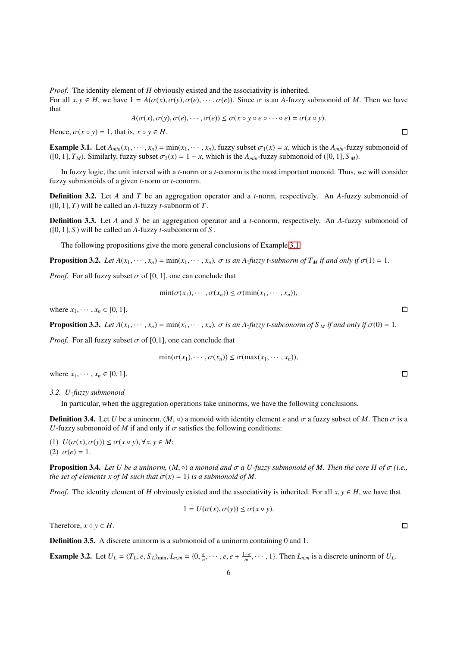*Proof.* The identity element of *H* obviously existed and the associativity is inherited.

For all  $x, y \in H$ , we have  $1 = A(\sigma(x), \sigma(y), \sigma(e), \cdots, \sigma(e))$ . Since  $\sigma$  is an *A*-fuzzy submonoid of *M*. Then we have that

$$
A(\sigma(x),\sigma(y),\sigma(e),\cdots,\sigma(e))\leq \sigma(x\circ y\circ e\circ\cdots\circ e)=\sigma(x\circ y).
$$

Hence,  $\sigma(x \circ y) = 1$ , that is,  $x \circ y \in H$ .

<span id="page-5-0"></span>**Example 3.1.** Let  $A_{min}(x_1, \dots, x_n) = \min(x_1, \dots, x_n)$ , fuzzy subset  $\sigma_1(x) = x$ , which is the  $A_{min}$ -fuzzy submonoid of  $(0, 1], T_M)$ . Similarly, fuzzy subset  $\sigma_2(x) = 1 - x$ , which is the  $A_{min}$ -fuzzy submonoid of  $([0, 1], S_M)$ .

In fuzzy logic, the unit interval with a *t*-norm or a *t*-conorm is the most important monoid. Thus, we will consider fuzzy submonoids of a given *t*-norm or *t*-conorm.

Definition 3.2. Let *A* and *T* be an aggregation operator and a *t*-norm, respectively. An *A*-fuzzy submonoid of ([0, 1], *T*) will be called an *A*-fuzzy *t*-subnorm of *T*.

Definition 3.3. Let *A* and *S* be an aggregation operator and a *t*-conorm, respectively. An *A*-fuzzy submonoid of  $([0, 1], S)$  will be called an *A*-fuzzy *t*-subconorm of *S*.

The following propositions give the more general conclusions of Example [3.1.](#page-5-0)

**Proposition 3.2.** *Let*  $A(x_1, \dots, x_n) = \min(x_1, \dots, x_n)$ *.*  $\sigma$  *is an A-fuzzy t-subnorm of*  $T_M$  *if and only if*  $\sigma(1) = 1$ *.* 

*Proof.* For all fuzzy subset  $\sigma$  of [0, 1], one can conclude that

$$
\min(\sigma(x_1),\cdots,\sigma(x_n))\leq \sigma(\min(x_1,\cdots,x_n)),
$$

where  $x_1, \dots, x_n \in [0, 1]$ .

**Proposition 3.3.** Let  $A(x_1, \dots, x_n) = \min(x_1, \dots, x_n)$ .  $\sigma$  is an A-fuzzy t-subconorm of S<sub>M</sub> if and only if  $\sigma(0) = 1$ .

*Proof.* For all fuzzy subset  $\sigma$  of [0,1], one can conclude that

$$
\min(\sigma(x_1),\cdots,\sigma(x_n))\leq \sigma(\max(x_1,\cdots,x_n)),
$$

where  $x_1, \dots, x_n \in [0, 1]$ .

<span id="page-5-1"></span>*3.2. U-fuzzy submonoid*

In particular, when the aggregation operations take uninorms, we have the following conclusions.

**Definition 3.4.** Let *U* be a uninorm,  $(M, \circ)$  a monoid with identity element *e* and  $\sigma$  a fuzzy subset of *M*. Then  $\sigma$  is a *U*-fuzzy submonoid of *M* if and only if  $\sigma$  satisfies the following conditions:

(1)  $U(\sigma(x), \sigma(y)) \leq \sigma(x \circ y), \forall x, y \in M;$ (2)  $\sigma(e) = 1$ .

**Proposition 3.4.** *Let U be a uninorm,*  $(M, \circ)$  *a monoid and*  $\sigma$  *a U-fuzzy submonoid of M. Then the core H of*  $\sigma$  *(i.e., the set of elements x of M such that*  $\sigma(x) = 1$ *) is a submonoid of M.* 

*Proof.* The identity element of *H* obviously existed and the associativity is inherited. For all  $x, y \in H$ , we have that

$$
1 = U(\sigma(x), \sigma(y)) \le \sigma(x \circ y).
$$

Therefore,  $x \circ y \in H$ .

Definition 3.5. A discrete uninorm is a submonoid of a uninorm containing 0 and 1.

**Example 3.2.** Let  $U_L = \langle T_L, e, S_L \rangle_{\min}$ ,  $L_{n,m} = \{0, \frac{e}{n}, \cdots, e, e + \frac{1-e}{m}, \cdots, 1\}$ . Then  $L_{n,m}$  is a discrete uninorm of  $U_L$ .

 $\Box$ 

 $\Box$ 

 $\Box$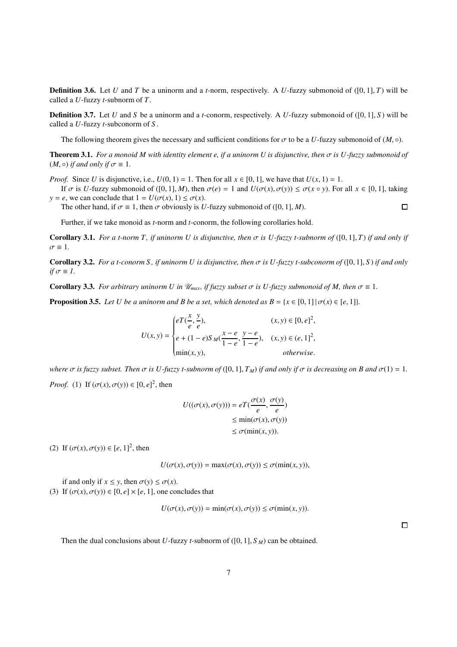<span id="page-6-1"></span>**Definition 3.6.** Let *U* and *T* be a uninorm and a *t*-norm, respectively. A *U*-fuzzy submonoid of ([0, 1], *T*) will be called a *U*-fuzzy *t*-subnorm of *T*.

Definition 3.7. Let *U* and *S* be a uninorm and a *t*-conorm, respectively. A *U*-fuzzy submonoid of ([0, 1], *S* ) will be called a *U*-fuzzy *t*-subconorm of *S* .

The following theorem gives the necessary and sufficient conditions for  $\sigma$  to be a *U*-fuzzy submonoid of  $(M, \circ)$ .

Theorem 3.1. *For a monoid M with identity element e, if a uninorm U is disjunctive, then* σ *is U-fuzzy submonoid of*  $(M, \circ)$  *if and only if*  $\sigma \equiv 1$ *.* 

*Proof.* Since *U* is disjunctive, i.e.,  $U(0, 1) = 1$ . Then for all  $x \in [0, 1]$ , we have that  $U(x, 1) = 1$ .

If  $\sigma$  is *U*-fuzzy submonoid of ([0, 1], *M*), then  $\sigma(e) = 1$  and  $U(\sigma(x), \sigma(y)) \leq \sigma(x \circ y)$ . For all  $x \in [0, 1]$ , taking *y* = *e*, we can conclude that  $1 = U(\sigma(x), 1) \leq \sigma(x)$ .  $\Box$ 

The other hand, if  $\sigma \equiv 1$ , then  $\sigma$  obviously is *U*-fuzzy submonoid of ([0, 1], *M*).

Further, if we take monoid as *t*-norm and *t*-conorm, the following corollaries hold.

**Corollary 3.1.** *For a t-norm T, if uninorm U is disjunctive, then*  $\sigma$  *is U-fuzzy t-subnorm of* ([0, 1], *T*) *if and only if*  $\sigma \equiv 1$ .

**Corollary 3.2.** *For a t-conorm S, if uninorm U is disjunctive, then*  $\sigma$  *is U-fuzzy t-subconorm of* ([0, 1], *S*) *if and only if*  $\sigma \equiv 1$ .

**Corollary 3.3.** *For arbitrary uninorm U in*  $\mathcal{U}_{max}$ *, if fuzzy subset*  $\sigma$  *is U-fuzzy submonoid of M, then*  $\sigma \equiv 1$ *.* 

<span id="page-6-0"></span>**Proposition 3.5.** *Let U be a uninorm and B be a set, which denoted as*  $B = \{x \in [0, 1] | \sigma(x) \in [e, 1]\}$ *.* 

$$
U(x,y) = \begin{cases} eT(\frac{x}{e},\frac{y}{e}), & (x,y) \in [0,e]^2, \\ e + (1-e)S_M(\frac{x-e}{1-e},\frac{y-e}{1-e}), & (x,y) \in (e,1]^2, \\ \min(x,y), & otherwise. \end{cases}
$$

*where*  $\sigma$  *is fuzzy subset. Then*  $\sigma$  *is U-fuzzy t-subnorm of* ([0, 1],  $T_M$ ) *if and only if*  $\sigma$  *is decreasing on B and*  $\sigma(1) = 1$ . *Proof.* (1) If  $(\sigma(x), \sigma(y)) \in [0, e]^2$ , then

$$
U((\sigma(x), \sigma(y))) = eT(\frac{\sigma(x)}{e}, \frac{\sigma(y)}{e})
$$
  
\n
$$
\leq \min(\sigma(x), \sigma(y))
$$
  
\n
$$
\leq \sigma(\min(x, y)).
$$

(2) If  $(\sigma(x), \sigma(y)) \in [e, 1]^2$ , then

$$
U(\sigma(x), \sigma(y)) = \max(\sigma(x), \sigma(y)) \le \sigma(\min(x, y)),
$$

if and only if  $x \leq y$ , then  $\sigma(y) \leq \sigma(x)$ . (3) If  $(\sigma(x), \sigma(y)) \in [0, e] \times [e, 1]$ , one concludes that

$$
U(\sigma(x), \sigma(y)) = \min(\sigma(x), \sigma(y)) \le \sigma(\min(x, y)).
$$

 $\Box$ 

Then the dual conclusions about *U*-fuzzy *t*-subnorm of  $([0, 1], S_M)$  can be obtained.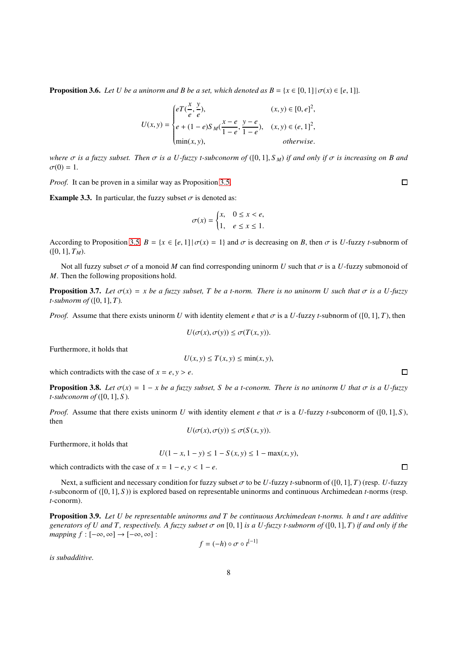**Proposition 3.6.** *Let U be a uninorm and B be a set, which denoted as*  $B = \{x \in [0, 1] \mid \sigma(x) \in [e, 1]\}$ *.* 

$$
U(x,y) = \begin{cases} eT(\frac{x}{e},\frac{y}{e}), & (x,y) \in [0,e]^2, \\ e + (1-e)S_M(\frac{x-e}{1-e},\frac{y-e}{1-e}), & (x,y) \in (e,1]^2, \\ \min(x,y), & otherwise. \end{cases}
$$

*where*  $\sigma$  *is a fuzzy subset. Then*  $\sigma$  *is a U-fuzzy t-subconorm of* ([0, 1], *S<sub>M</sub>*) *if and only if*  $\sigma$  *is increasing on B and*  $\sigma(0) = 1.$ 

*Proof.* It can be proven in a similar way as Proposition [3.5.](#page-6-0)

**Example 3.3.** In particular, the fuzzy subset  $\sigma$  is denoted as:

$$
\sigma(x) = \begin{cases} x, & 0 \le x < e, \\ 1, & e \le x \le 1. \end{cases}
$$

According to Proposition [3.5,](#page-6-0)  $B = \{x \in [e, 1] | \sigma(x) = 1\}$  and  $\sigma$  is decreasing on *B*, then  $\sigma$  is *U*-fuzzy *t*-subnorm of  $([0, 1], T_M)$ .

Not all fuzzy subset  $\sigma$  of a monoid M can find corresponding uninorm U such that  $\sigma$  is a U-fuzzy submonoid of *M*. Then the following propositions hold.

**Proposition 3.7.** *Let*  $\sigma(x) = x$  *be a fuzzy subset, T be a t-norm. There is no uninorm U such that*  $\sigma$  *is a U-fuzzy t-subnorm of* ([0, 1], *T*)*.*

*Proof.* Assume that there exists uninorm *U* with identity element *e* that  $\sigma$  is a *U*-fuzzy *t*-subnorm of ([0, 1], *T*), then

$$
U(\sigma(x), \sigma(y)) \le \sigma(T(x, y)).
$$

Furthermore, it holds that

$$
U(x, y) \le T(x, y) \le \min(x, y),
$$

which contradicts with the case of  $x = e, y > e$ .

**Proposition 3.8.** *Let*  $\sigma(x) = 1 - x$  *be a fuzzy subset, S be a t-conorm. There is no uninorm U that*  $\sigma$  *is a U-fuzzy t-subconorm of* ([0, 1], *S* )*.*

*Proof.* Assume that there exists uninorm *U* with identity element *e* that  $\sigma$  is a *U*-fuzzy *t*-subconorm of ([0, 1], *S*), then

$$
U(\sigma(x), \sigma(y)) \le \sigma(S(x, y)).
$$

Furthermore, it holds that

$$
U(1 - x, 1 - y) \le 1 - S(x, y) \le 1 - \max(x, y),
$$

which contradicts with the case of  $x = 1 - e$ ,  $y < 1 - e$ .

Next, a sufficient and necessary condition for fuzzy subset σ to be *U*-fuzzy *t*-subnorm of ([0, 1], *T*) (resp. *U*-fuzzy *t*-subconorm of ([0, 1], *S* )) is explored based on representable uninorms and continuous Archimedean *t*-norms (resp. *t*-conorm).

Proposition 3.9. *Let U be representable uninorms and T be continuous Archimedean t-norms. h and t are additive generators of U and T, respectively. A fuzzy subset*  $\sigma$  *on* [0, 1] *is a U-fuzzy t-subnorm of* ([0, 1], *T*) *if and only if the mapping*  $f : [-\infty, \infty] \to [-\infty, \infty]$ :

$$
f = (-h) \circ \sigma \circ t^{[-1]}
$$

*is subadditive.*

 $\Box$ 

 $\Box$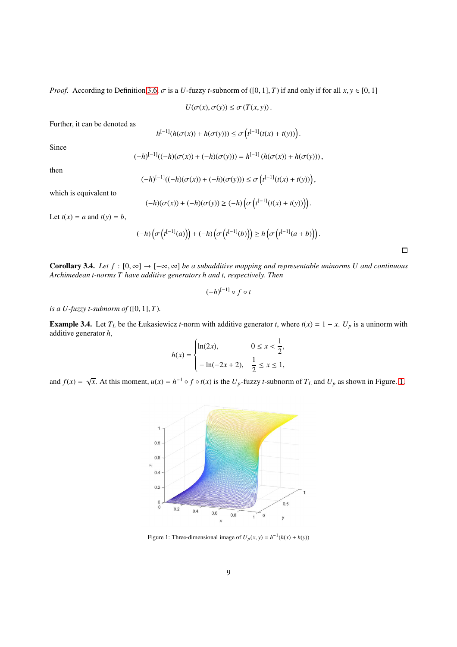*Proof.* According to Definition [3.6,](#page-6-1)  $\sigma$  is a *U*-fuzzy *t*-subnorm of ([0, 1], *T*) if and only if for all *x*,  $y \in [0, 1]$ 

 $U(\sigma(x), \sigma(y)) \leq \sigma(T(x, y)).$ 

Further, it can be denoted as

$$
h^{[-1]}(h(\sigma(x)) + h(\sigma(y))) \leq \sigma\left(t^{[-1]}(t(x) + t(y))\right).
$$

Since

$$
(-h)^{[-1]}((-h)(\sigma(x)) + (-h)(\sigma(y))) = h^{[-1]}(h(\sigma(x)) + h(\sigma(y))),
$$

then

$$
(-h)^{[-1]}((-h)(\sigma(x)) + (-h)(\sigma(y))) \le \sigma\left(t^{[-1]}(t(x) + t(y))\right),
$$

which is equivalent to

$$
(-h)(\sigma(x)) + (-h)(\sigma(y)) \ge (-h)\left(\sigma\left(t^{[-1]}(t(x) + t(y))\right)\right).
$$

Let  $t(x) = a$  and  $t(y) = b$ ,

$$
(-h)\left(\sigma\left(t^{[-1]}(a)\right)\right)+(-h)\left(\sigma\left(t^{[-1]}(b)\right)\right)\geq h\left(\sigma\left(t^{[-1]}(a+b)\right)\right).
$$

Corollary 3.4. *Let*  $f : [0, \infty] \to [-\infty, \infty]$  *be a subadditive mapping and representable uninorms U and continuous Archimedean t-norms T have additive generators h and t, respectively. Then*

$$
(-h)^{[-1]}\circ f\circ t
$$

*is a U-fuzzy t-subnorm of*  $([0, 1], T)$ *.* 

<span id="page-8-1"></span>**Example 3.4.** Let  $T_L$  be the Łukasiewicz *t*-norm with additive generator *t*, where  $t(x) = 1 - x$ .  $U_p$  is a uninorm with additive generator *h*,

$$
h(x) = \begin{cases} \ln(2x), & 0 \le x < \frac{1}{2}, \\ -\ln(-2x+2), & \frac{1}{2} \le x \le 1, \end{cases}
$$

<span id="page-8-0"></span>and  $f(x) = \sqrt{x}$ . At this moment,  $u(x) = h^{-1} \circ f \circ t(x)$  is the  $U_p$ -fuzzy *t*-subnorm of  $T_L$  and  $U_p$  as shown in Figure. [1.](#page-8-0)



Figure 1: Three-dimensional image of  $U_p(x, y) = h^{-1}(h(x) + h(y))$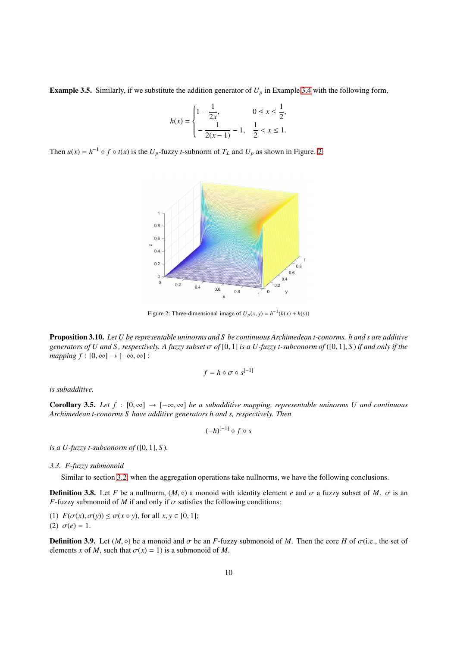**Example 3.5.** Similarly, if we substitute the addition generator of  $U_p$  in Example [3.4](#page-8-1) with the following form,

$$
h(x) = \begin{cases} 1 - \frac{1}{2x}, & 0 \le x \le \frac{1}{2}, \\ -\frac{1}{2(x-1)} - 1, & \frac{1}{2} < x \le 1. \end{cases}
$$

<span id="page-9-0"></span>Then  $u(x) = h^{-1} \circ f \circ t(x)$  is the  $U_p$ -fuzzy *t*-subnorm of  $T_L$  and  $U_p$  as shown in Figure. [2.](#page-9-0)



Figure 2: Three-dimensional image of  $U_p(x, y) = h^{-1}(h(x) + h(y))$ 

Proposition 3.10. *Let U be representable uninorms and S be continuous Archimedean t-conorms. h and s are additive generators of U and S, respectively. A fuzzy subset*  $\sigma$  of [0, 1] *is a U-fuzzy t-subconorm of* ([0, 1], *S*) *if and only if the mapping*  $f : [0, \infty] \to [-\infty, \infty]$ :

$$
f = h \circ \sigma \circ s^{[-1]}
$$

*is subadditive.*

**Corollary 3.5.** *Let f* : [0,∞] →  $[-\infty, \infty]$  *be a subadditive mapping, representable uninorms U and continuous Archimedean t-conorms S have additive generators h and s, respectively. Then*

$$
(-h)^{[-1]}\circ f\circ s
$$

*is a U-fuzzy t-subconorm of* ( $[0, 1]$ , *S*).

# *3.3. F-fuzzy submonoid*

Similar to section [3.2,](#page-5-1) when the aggregation operations take nullnorms, we have the following conclusions.

**Definition 3.8.** Let *F* be a nullnorm,  $(M, \circ)$  a monoid with identity element *e* and  $\sigma$  a fuzzy subset of *M*.  $\sigma$  is an *F*-fuzzy submonoid of *M* if and only if  $\sigma$  satisfies the following conditions:

(1)  $F(\sigma(x), \sigma(y)) \leq \sigma(x \circ y)$ , for all  $x, y \in [0, 1]$ ; (2)  $\sigma(e) = 1$ .

**Definition 3.9.** Let  $(M, \circ)$  be a monoid and  $\sigma$  be an *F*-fuzzy submonoid of *M*. Then the core *H* of  $\sigma$ (i.e., the set of elements *x* of *M*, such that  $\sigma(x) = 1$ ) is a submonoid of *M*.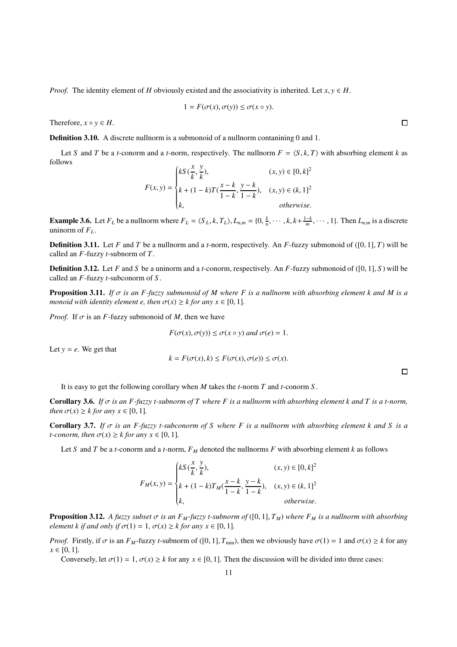*Proof.* The identity element of *H* obviously existed and the associativity is inherited. Let  $x, y \in H$ .

$$
1 = F(\sigma(x), \sigma(y)) \le \sigma(x \circ y).
$$

Therefore,  $x \circ y \in H$ .

Definition 3.10. A discrete nullnorm is a submonoid of a nullnorm contanining 0 and 1.

Let *S* and *T* be a *t*-conorm and a *t*-norm, respectively. The nullnorm  $F = \langle S, k, T \rangle$  with absorbing element *k* as follows *x y*

$$
F(x, y) = \begin{cases} kS\left(\frac{x}{k}, \frac{y}{k}\right), & (x, y) \in [0, k]^2\\ k + (1 - k)T\left(\frac{x - k}{1 - k}, \frac{y - k}{1 - k}\right), & (x, y) \in (k, 1]^2\\ k, & \text{otherwise.} \end{cases}
$$

**Example 3.6.** Let  $F_L$  be a nullnorm where  $F_L = \langle S_L, k, T_L \rangle$ ,  $L_{n,m} = \{0, \frac{k}{n}, \dots, k, k + \frac{1-k}{m}, \dots, 1\}$ . Then  $L_{n,m}$  is a discrete uninorm of  $F_L$ .

**Definition 3.11.** Let *F* and *T* be a nullnorm and a *t*-norm, respectively. An *F*-fuzzy submonoid of ([0, 1], *T*) will be called an *F*-fuzzy *t*-subnorm of *T*.

Definition 3.12. Let *F* and *S* be a uninorm and a *t*-conorm, respectively. An *F*-fuzzy submonoid of ([0, 1], *S* ) will be called an *F*-fuzzy *t*-subconorm of *S* .

Proposition 3.11. *If* σ *is an F-fuzzy submonoid of M where F is a nullnorm with absorbing element k and M is a monoid with identity element e, then*  $\sigma(x) \geq k$  *for any*  $x \in [0, 1]$ *.* 

*Proof.* If  $\sigma$  is an *F*-fuzzy submonoid of *M*, then we have

$$
F(\sigma(x), \sigma(y)) \le \sigma(x \circ y) \text{ and } \sigma(e) = 1.
$$

Let  $y = e$ . We get that

$$
k = F(\sigma(x), k) \le F(\sigma(x), \sigma(e)) \le \sigma(x).
$$

 $\Box$ 

It is easy to get the following corollary when *M* takes the *t*-norm *T* and *t*-conorm *S* .

**Corollary 3.6.** *If*  $\sigma$  *is an F-fuzzy t-subnorm of T where F is a nullnorm with absorbing element k and T is a t-norm, then*  $\sigma(x) \geq k$  *for any*  $x \in [0, 1]$ *.* 

Corollary 3.7. *If* σ *is an F-fuzzy t-subconorm of S where F is a nullnorm with absorbing element k and S is a t*-conorm, then  $\sigma(x) \geq k$  for any  $x \in [0, 1]$ .

Let *S* and *T* be a *t*-conorm and a *t*-norm,  $F_M$  denoted the nullnorms *F* with absorbing element *k* as follows

$$
F_M(x,y)=\begin{cases} kS(\frac{x}{k},\frac{y}{k}),&(x,y)\in[0,k]^2\\ k+(1-k)T_M(\frac{x-k}{1-k},\frac{y-k}{1-k}),&(x,y)\in(k,1]^2\\ k,&\text{otherwise.}\end{cases}
$$

<span id="page-10-0"></span>**Proposition 3.12.** *A fuzzy subset*  $\sigma$  *is an F<sub>M</sub>*-fuzzy *t*-subnorm of ([0, 1],  $T_M$ ) where  $F_M$  *is a nullnorm with absorbing element k if and only if*  $\sigma(1) = 1$ ,  $\sigma(x) \geq k$  *for any x*  $\in [0, 1]$ *.* 

*Proof.* Firstly, if  $\sigma$  is an *F<sub>M</sub>*-fuzzy *t*-subnorm of ([0, 1],  $T_{\text{min}}$ ), then we obviously have  $\sigma(1) = 1$  and  $\sigma(x) \ge k$  for any  $x \in [0, 1].$ 

Conversely, let  $\sigma(1) = 1$ ,  $\sigma(x) \geq k$  for any  $x \in [0, 1]$ . Then the discussion will be divided into three cases: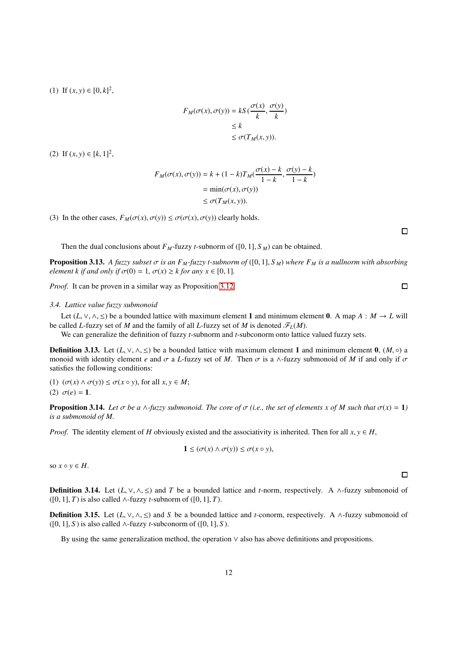(1) If  $(x, y) \in [0, k]^2$ ,

$$
F_M(\sigma(x), \sigma(y)) = kS\left(\frac{\sigma(x)}{k}, \frac{\sigma(y)}{k}\right)
$$
  

$$
\leq k
$$
  

$$
\leq \sigma(T_M(x, y)).
$$

(2) If  $(x, y) \in [k, 1]^2$ ,

$$
F_M(\sigma(x), \sigma(y)) = k + (1 - k)T_M(\frac{\sigma(x) - k}{1 - k}, \frac{\sigma(y) - k}{1 - k})
$$
  
= 
$$
\min(\sigma(x), \sigma(y))
$$
  

$$
\leq \sigma(T_M(x, y)).
$$

(3) In the other cases,  $F_M(\sigma(x), \sigma(y)) \leq \sigma(\sigma(x), \sigma(y))$  clearly holds.

Then the dual conclusions about  $F_M$ -fuzzy *t*-subnorm of ([0, 1],  $S_M$ ) can be obtained.

**Proposition 3.13.** *A fuzzy subset*  $\sigma$  *is an F<sub>M</sub>*-fuzzy *t*-subnorm of ([0, 1], *S<sub>M</sub>*) where  $F_M$  *is a nullnorm with absorbing element k if and only if*  $\sigma(0) = 1$ ,  $\sigma(x) \geq k$  *for any x*  $\in [0, 1]$ *.* 

*Proof.* It can be proven in a similar way as Proposition [3.12.](#page-10-0)

#### *3.4. Lattice value fuzzy submonoid*

Let  $(L, \vee, \wedge, \leq)$  be a bounded lattice with maximum element 1 and minimum element 0. A map  $A : M \to L$  will be called *L*-fuzzy set of *M* and the family of all *L*-fuzzy set of *M* is denoted  $\mathscr{F}_L(M)$ .

We can generalize the definition of fuzzy *t*-subnorm and *t*-subconorm onto lattice valued fuzzy sets.

**Definition 3.13.** Let  $(L, \vee, \wedge, \leq)$  be a bounded lattice with maximum element 1 and minimum element 0,  $(M, \circ)$  a monoid with identity element *e* and  $\sigma$  a *L*-fuzzy set of *M*. Then  $\sigma$  is a ∧-fuzzy submonoid of *M* if and only if  $\sigma$ satisfies the following conditions:

(1)  $(\sigma(x) \land \sigma(y)) \leq \sigma(x \circ y)$ , for all  $x, y \in M$ ; (2)  $\sigma(e) = 1$ .

**Proposition 3.14.** Let  $\sigma$  be a  $\wedge$ -fuzzy submonoid. The core of  $\sigma$  (i.e., the set of elements x of M such that  $\sigma(x) = 1$ ) *is a submonoid of M.*

*Proof.* The identity element of *H* obviously existed and the associativity is inherited. Then for all  $x, y \in H$ ,

$$
1 \leq (\sigma(x) \land \sigma(y)) \leq \sigma(x \circ y),
$$

so  $x \circ y \in H$ .

**Definition 3.14.** Let  $(L, \vee, \wedge, \leq)$  and *T* be a bounded lattice and *t*-norm, respectively. A ∧-fuzzy submonoid of  $([0, 1], T)$  is also called ∧-fuzzy *t*-subnorm of  $([0, 1], T)$ .

**Definition 3.15.** Let  $(L, \vee, \wedge, \leq)$  and *S* be a bounded lattice and *t*-conorm, respectively. A ∧-fuzzy submonoid of  $([0, 1], S)$  is also called ∧-fuzzy *t*-subconorm of  $([0, 1], S)$ .

By using the same generalization method, the operation ∨ also has above definitions and propositions.

 $\Box$ 

 $\Box$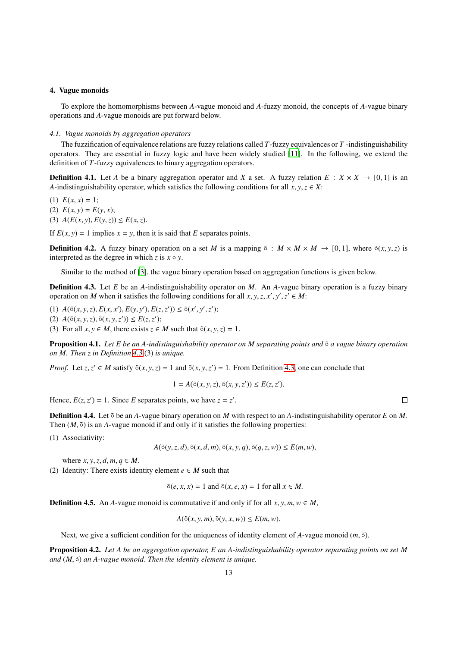# <span id="page-12-0"></span>4. Vague monoids

To explore the homomorphisms between *A*-vague monoid and *A*-fuzzy monoid, the concepts of *A*-vague binary operations and *A*-vague monoids are put forward below.

#### *4.1. Vague monoids by aggregation operators*

The fuzzification of equivalence relations are fuzzy relations called *T*-fuzzy equivalences or *T* -indistinguishability operators. They are essential in fuzzy logic and have been widely studied [\[11](#page-19-16)]. In the following, we extend the definition of *T*-fuzzy equivalences to binary aggregation operators.

**Definition 4.1.** Let *A* be a binary aggregation operator and *X* a set. A fuzzy relation  $E: X \times X \rightarrow [0, 1]$  is an *A*-indistinguishability operator, which satisfies the following conditions for all  $x, y, z \in X$ :

(1)  $E(x, x) = 1$ ; (2)  $E(x, y) = E(y, x);$ (3)  $A(E(x, y), E(y, z)) \le E(x, z)$ .

If  $E(x, y) = 1$  implies  $x = y$ , then it is said that *E* separates points.

**Definition 4.2.** A fuzzy binary operation on a set *M* is a mapping  $\tilde{\circ}$  :  $M \times M \to [0, 1]$ , where  $\tilde{\circ}(x, y, z)$  is interpreted as the degree in which  $z$  is  $x \circ y$ .

Similar to the method of [\[3\]](#page-19-6), the vague binary operation based on aggregation functions is given below.

<span id="page-12-1"></span>Definition 4.3. Let *E* be an *A*-indistinguishability operator on *M*. An *A*-vague binary operation is a fuzzy binary operation on *M* when it satisfies the following conditions for all *x*, *y*, *z*, *x*<sup>'</sup>, *y*<sup>'</sup>, *z*<sup>'</sup>  $\in$  *M*:

- (1)  $A(\tilde{\circ}(x, y, z), E(x, x'), E(y, y'), E(z, z')) \leq \tilde{\circ}(x', y', z');$
- $(A(5(x, y, z), 5(x, y, z')) \le E(z, z');$

(3) For all  $x, y \in M$ , there exists  $z \in M$  such that  $\tilde{\circ}(x, y, z) = 1$ .

Proposition 4.1. *Let E be an A-indistinguishability operator on M separating points and* ◦˜ *a vague binary operation on M. Then z in Definition [4.3](#page-12-1)* (3) *is unique.*

*Proof.* Let *z*, *z*<sup> $\prime$ </sup>  $\in$  *M* satisfy  $\tilde{\circ}(x, y, z) = 1$  and  $\tilde{\circ}(x, y, z') = 1$ . From Definition [4.3,](#page-12-1) one can conclude that

$$
1 = A(\tilde{\circ}(x, y, z), \tilde{\circ}(x, y, z')) \le E(z, z').
$$

Hence,  $E(z, z') = 1$ . Since *E* separates points, we have  $z = z'$ .

Definition 4.4. Let <sup>∂</sup> be an *A*-vague binary operation on *M* with respect to an *A*-indistinguishability operator *E* on *M*. Then  $(M, \tilde{\circ})$  is an *A*-vague monoid if and only if it satisfies the following properties:

(1) Associativity:

 $A( \tilde{o}(y, z, d), \tilde{o}(x, d, m), \tilde{o}(x, y, q), \tilde{o}(q, z, w)) \leq E(m, w),$ 

where  $x, y, z, d, m, q \in M$ .

(2) Identity: There exists identity element  $e \in M$  such that

$$
\tilde{\circ}(e, x, x) = 1 \text{ and } \tilde{\circ}(x, e, x) = 1 \text{ for all } x \in M.
$$

**Definition 4.5.** An *A*-vague monoid is commutative if and only if for all  $x, y, m, w \in M$ ,

$$
A(\tilde{\circ}(x, y, m), \tilde{\circ}(y, x, w)) \le E(m, w).
$$

Next, we give a sufficient condition for the uniqueness of identity element of *A*-vague monoid  $(m, \tilde{\circ})$ .

Proposition 4.2. *Let A be an aggregation operator, E an A-indistinguishability operator separating points on set M and* (*M*, ◦˜) *an A-vague monoid. Then the identity element is unique.*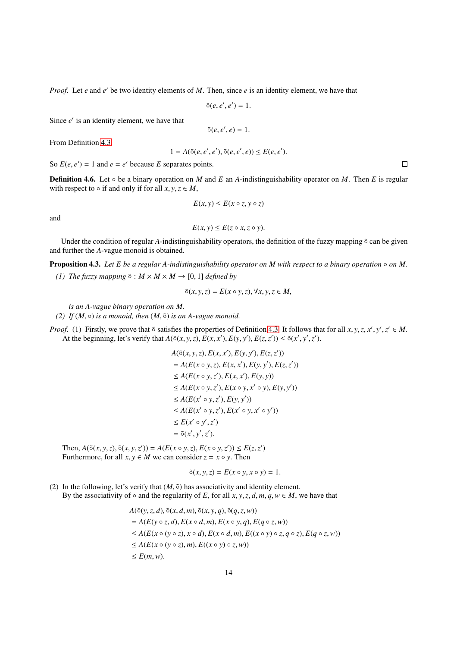*Proof.* Let *e* and *e* ′ be two identity elements of *M*. Then, since *e* is an identity element, we have that

$$
\tilde{\circ}(e,e',e')=1.
$$

Since *e'* is an identity element, we have that

 $\tilde{o}(e, e', e) = 1.$ 

From Definition [4.3,](#page-12-1)

$$
1 = A(\tilde{o}(e, e', e'), \tilde{o}(e, e', e)) \le E(e, e').
$$

So  $E(e, e') = 1$  and  $e = e'$  because *E* separates points.

**Definition 4.6.** Let  $\circ$  be a binary operation on *M* and *E* an *A*-indistinguishability operator on *M*. Then *E* is regular with respect to  $\circ$  if and only if for all  $x, y, z \in M$ ,

$$
E(x, y) \le E(x \circ z, y \circ z)
$$

and

$$
E(x, y) \le E(z \circ x, z \circ y).
$$

Under the condition of regular *A*-indistinguishability operators, the definition of the fuzzy mapping  $\delta$  can be given and further the *A*-vague monoid is obtained.

Proposition 4.3. *Let E be a regular A-indistinguishability operator on M with respect to a binary operation* ◦ *on M*. *(1)* The fuzzy mapping  $\delta$  :  $M \times M \times M \rightarrow [0, 1]$  *defined by* 

 $\tilde{\sigma}(x, y, z) = E(x \circ y, z), \forall x, y, z \in M,$ 

*is an A-vague binary operation on M.*

(2) If  $(M, \circ)$  *is a monoid, then*  $(M, \tilde{\circ})$  *is an A-vague monoid.* 

*Proof.* (1) Firstly, we prove that  $\tilde{\circ}$  satisfies the properties of Definition [4.3.](#page-12-1) It follows that for all *x*, *y*, *z*, *x*<sup>'</sup>, *y*', *z*'  $\in$  *M*. At the beginning, let's verify that  $A(\tilde{\circ}(x, y, z), E(x, x'), E(y, y'), E(z, z')) \leq \tilde{\circ}(x', y', z').$ 

$$
A(\tilde{o}(x, y, z), E(x, x'), E(y, y'), E(z, z'))
$$
  
=  $A(E(x \circ y, z), E(x, x'), E(y, y'), E(z, z'))$   
 $\leq A(E(x \circ y, z'), E(x, x'), E(y, y))$   
 $\leq A(E(x \circ y, z'), E(x \circ y, x' \circ y), E(y, y'))$   
 $\leq A(E(x' \circ y, z'), E(y, y'))$   
 $\leq A(E(x' \circ y, z'), E(x' \circ y, x' \circ y'))$   
 $\leq E(x' \circ y', z')$   
=  $\tilde{o}(x', y', z').$ 

Then,  $A(\tilde{o}(x, y, z), \tilde{o}(x, y, z')) = A(E(x \circ y, z), E(x \circ y, z')) \le E(z, z')$ Furthermore, for all  $x, y \in M$  we can consider  $z = x \circ y$ . Then

$$
\tilde{\circ}(x, y, z) = E(x \circ y, x \circ y) = 1.
$$

(2) In the following, let's verify that  $(M, \tilde{\circ})$  has associativity and identity element. By the associativity of  $\circ$  and the regularity of *E*, for all *x*, *y*, *z*, *d*, *m*, *q*, *w*  $\in$  *M*, we have that

$$
A(\tilde{o}(y, z, d), \tilde{o}(x, d, m), \tilde{o}(x, y, q), \tilde{o}(q, z, w))
$$
  
=  $A(E(y \circ z, d), E(x \circ d, m), E(x \circ y, q), E(q \circ z, w))$   
 $\leq A(E(x \circ (y \circ z), x \circ d), E(x \circ d, m), E((x \circ y) \circ z, q \circ z), E(q \circ z, w))$   
 $\leq A(E(x \circ (y \circ z), m), E((x \circ y) \circ z, w))$   
 $\leq E(m, w).$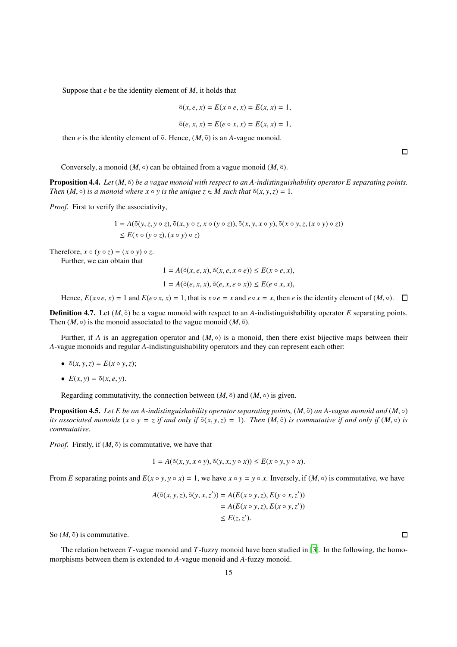Suppose that *e* be the identity element of *M*, it holds that

$$
\tilde{\circ}(x, e, x) = E(x \circ e, x) = E(x, x) = 1,
$$
  

$$
\tilde{\circ}(e, x, x) = E(e \circ x, x) = E(x, x) = 1,
$$

then  $e$  is the identity element of  $\tilde{\circ}$ . Hence,  $(M, \tilde{\circ})$  is an *A*-vague monoid.

 $\Box$ 

Conversely, a monoid  $(M, \circ)$  can be obtained from a vague monoid  $(M, \tilde{\circ})$ .

Proposition 4.4. *Let*  $(M, \tilde{0})$  *be a vague monoid with respect to an A-indistinguishability operator E separating points. Then*  $(M, \circ)$  *is a monoid where*  $x \circ y$  *is the unique*  $z \in M$  *such that*  $\tilde{\circ}(x, y, z) = 1$ *.* 

*Proof.* First to verify the associativity,

$$
1 = A(\tilde{\circ}(y, z, y \circ z), \tilde{\circ}(x, y \circ z, x \circ (y \circ z)), \tilde{\circ}(x, y, x \circ y), \tilde{\circ}(x \circ y, z, (x \circ y) \circ z))
$$
  
\$\le E(x \circ (y \circ z), (x \circ y) \circ z)\$

Therefore,  $x \circ (y \circ z) = (x \circ y) \circ z$ .

Further, we can obtain that

$$
1 = A(\tilde{\circ}(x, e, x), \tilde{\circ}(x, e, x \circ e)) \le E(x \circ e, x),
$$
  
\n
$$
1 = A(\tilde{\circ}(e, x, x), \tilde{\circ}(e, x, e \circ x)) \le E(e \circ x, x),
$$

Hence,  $E(x \circ e, x) = 1$  and  $E(e \circ x, x) = 1$ , that is  $x \circ e = x$  and  $e \circ x = x$ , then *e* is the identity element of  $(M, \circ)$ .

**Definition 4.7.** Let  $(M, \tilde{\circ})$  be a vague monoid with respect to an *A*-indistinguishability operator *E* separating points. Then  $(M, \circ)$  is the monoid associated to the vague monoid  $(M, \tilde{\circ})$ .

Further, if *A* is an aggregation operator and  $(M, \circ)$  is a monoid, then there exist bijective maps between their *A*-vague monoids and regular *A*-indistinguishability operators and they can represent each other:

- $\tilde{o}(x, y, z) = E(x \circ y, z);$
- $E(x, y) = \tilde{o}(x, e, y)$ .

Regarding commutativity, the connection between  $(M, \tilde{\circ})$  and  $(M, \circ)$  is given.

Proposition 4.5. *Let E be an A-indistinguishability operator separating points,* (*M*, ◦˜) *an A-vague monoid and* (*M*, ◦) *its associated monoids*  $(x \circ y = z$  *if and only if*  $\delta(x, y, z) = 1$ *). Then*  $(M, \delta)$  *is commutative if and only if*  $(M, \delta)$  *is commutative.*

*Proof.* Firstly, if  $(M, \tilde{\circ})$  is commutative, we have that

$$
1 = A(\tilde{\circ}(x, y, x \circ y), \tilde{\circ}(y, x, y \circ x)) \le E(x \circ y, y \circ x).
$$

From *E* separating points and  $E(x \circ y, y \circ x) = 1$ , we have  $x \circ y = y \circ x$ . Inversely, if  $(M, \circ)$  is commutative, we have

$$
A(\tilde{\circ}(x, y, z), \tilde{\circ}(y, x, z')) = A(E(x \circ y, z), E(y \circ x, z'))
$$
  
=  $A(E(x \circ y, z), E(x \circ y, z'))$   
 $\leq E(z, z').$ 

So  $(M, \tilde{\circ})$  is commutative.

The relation between *T*-vague monoid and *T*-fuzzy monoid have been studied in [\[3\]](#page-19-6). In the following, the homomorphisms between them is extended to *A*-vague monoid and *A*-fuzzy monoid.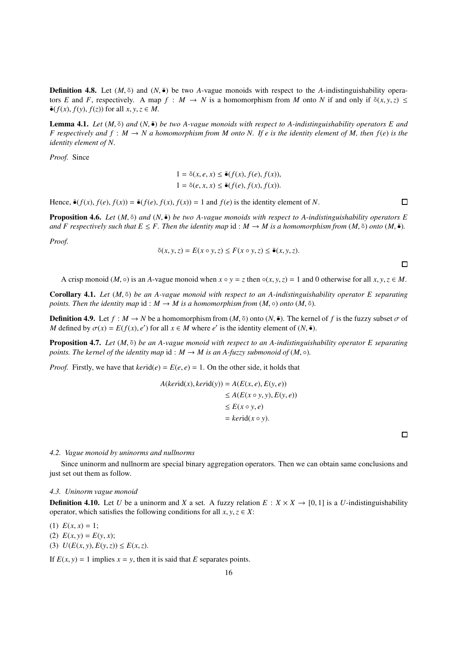**Definition 4.8.** Let  $(M, \tilde{\phi})$  and  $(N, \tilde{\phi})$  be two *A*-vague monoids with respect to the *A*-indistinguishability operators *E* and *F*, respectively. A map  $f : M \to N$  is a homomorphism from *M* onto *N* if and only if  $\tilde{\sigma}(x, y, z) \le$  $\tilde{\bullet}(f(x), f(y), f(z))$  for all  $x, y, z \in M$ .

**Lemma 4.1.** *Let*  $(M, \tilde{\sigma})$  *and*  $(N, \tilde{\bullet})$  *be two A-vague monoids with respect to A-indistinguishability operators E and F* respectively and  $f : M \to N$  a homomorphism from M onto N. If e is the identity element of M, then  $f(e)$  is the *identity element of N.*

*Proof.* Since

$$
1 = \tilde{\circ}(x, e, x) \le \tilde{\bullet}(f(x), f(e), f(x)),
$$
  

$$
1 = \tilde{\circ}(e, x, x) \le \tilde{\bullet}(f(e), f(x), f(x)).
$$

Hence,  $\tilde{\bullet}(f(x), f(e), f(x)) = \tilde{\bullet}(f(e), f(x), f(x)) = 1$  and  $f(e)$  is the identity element of *N*.

**Proposition 4.6.** *Let* (*M*, <sup>≤</sup>) *and* (*N*, <sup>≤</sup>) *be two A-vague monoids with respect to A-indistinguishability operators E and F respectively such that E*  $\leq$  *F. Then the identity map id :*  $M \to M$  *is a homomorphism from*  $(M, \tilde{\circ})$  *<i>onto*  $(M, \tilde{\bullet})$ .

*Proof.*

$$
\tilde{\circ}(x, y, z) = E(x \circ y, z) \le F(x \circ y, z) \le \tilde{\bullet}(x, y, z).
$$

 $\Box$ 

 $\Box$ 

A crisp monoid (*M*,  $\circ$ ) is an *A*-vague monoid when  $x \circ y = z$  then  $\circ(x, y, z) = 1$  and 0 otherwise for all  $x, y, z \in M$ .

Corollary 4.1. *Let* (*M*, ◦˜) *be an A-vague monoid with respect to an A-indistinguishability operator E separating points. Then the identity map* id :  $M \rightarrow M$  *is a homomorphism from*  $(M, \circ)$  *onto*  $(M, \circ)$ *.* 

**Definition 4.9.** Let  $f : M \to N$  be a homomorphism from  $(M, \tilde{\phi})$  onto  $(N, \tilde{\phi})$ . The kernel of f is the fuzzy subset  $\sigma$  of *M* defined by  $\sigma(x) = E(f(x), e')$  for all  $x \in M$  where *e'* is the identity element of  $(N, \tilde{\bullet})$ .

Proposition 4.7. *Let* (*M*, ◦˜) *be an A-vague monoid with respect to an A-indistinguishability operator E separating points. The kernel of the identity map*  $id : M \rightarrow M$  *is an A-fuzzy submonoid of*  $(M, \circ)$ *.* 

*Proof.* Firstly, we have that  $\text{kerid}(e) = E(e, e) = 1$ . On the other side, it holds that

$$
A(kerid(x), kerid(y)) = A(E(x, e), E(y, e))
$$
  
\n
$$
\leq A(E(x \circ y, y), E(y, e))
$$
  
\n
$$
\leq E(x \circ y, e)
$$
  
\n
$$
= kerid(x \circ y).
$$

*4.2. Vague monoid by uninorms and nullnorms*

Since uninorm and nullnorm are special binary aggregation operators. Then we can obtain same conclusions and just set out them as follow.

#### *4.3. Uninorm vague monoid*

**Definition 4.10.** Let *U* be a uninorm and *X* a set. A fuzzy relation  $E: X \times X \rightarrow [0, 1]$  is a *U*-indistinguishability operator, which satisfies the following conditions for all  $x, y, z \in X$ :

(1)  $E(x, x) = 1$ ;

(2)  $E(x, y) = E(y, x);$ 

(3)  $U(E(x, y), E(y, z)) \le E(x, z).$ 

If  $E(x, y) = 1$  implies  $x = y$ , then it is said that *E* separates points.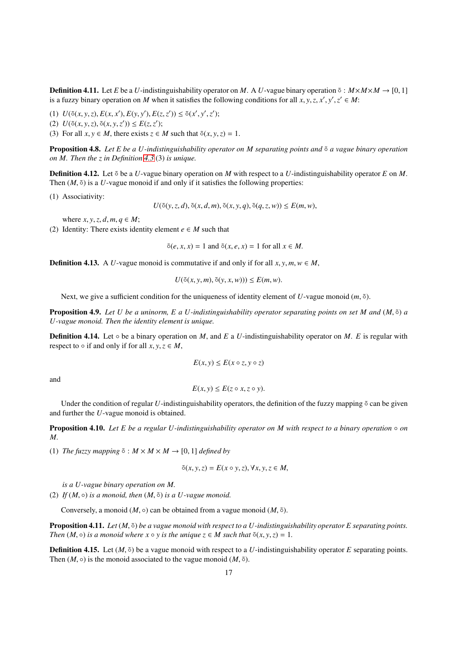**Definition 4.11.** Let *E* be a *U*-indistinguishability operator on *M*. A *U*-vague binary operation  $\tilde{\circ}$  :  $M \times M \times M \rightarrow [0, 1]$ is a fuzzy binary operation on *M* when it satisfies the following conditions for all  $x, y, z, x', y', z' \in M$ :

(1)  $U(\tilde{\circ}(x, y, z), E(x, x'), E(y, y'), E(z, z')) \leq \tilde{\circ}(x', y', z');$ 

 $U( \tilde{\sigma}(x, y, z), \tilde{\sigma}(x, y, z')) \leq E(z, z');$ 

(3) For all  $x, y \in M$ , there exists  $z \in M$  such that  $\tilde{\circ}(x, y, z) = 1$ .

Proposition 4.8. *Let E be a U-indistinguishability operator on M separating points and* ◦˜ *a vague binary operation on M. Then the z in Definition [4.3](#page-12-1)* (3) *is unique.*

Definition 4.12. Let ˜◦ be a *U*-vague binary operation on *M* with respect to a *U*-indistinguishability operator *E* on *M*. Then  $(M, \tilde{\circ})$  is a *U*-vague monoid if and only if it satisfies the following properties:

(1) Associativity:

 $U(\tilde{\circ}(y, z, d), \tilde{\circ}(x, d, m), \tilde{\circ}(x, y, q), \tilde{\circ}(q, z, w)) \le E(m, w),$ 

where  $x, y, z, d, m, q \in M$ ;

(2) Identity: There exists identity element  $e \in M$  such that

 $\tilde{\sigma}(e, x, x) = 1$  and  $\tilde{\sigma}(x, e, x) = 1$  for all  $x \in M$ .

**Definition 4.13.** A *U*-vague monoid is commutative if and only if for all  $x, y, m, w \in M$ ,

$$
U(\tilde{\circ}(x, y, m), \tilde{\circ}(y, x, w))) \le E(m, w).
$$

Next, we give a sufficient condition for the uniqueness of identity element of  $U$ -vague monoid  $(m, \tilde{\circ})$ .

**Proposition 4.9.** *Let U be a uninorm, E a U-indistinguishability operator separating points on set M and*  $(M, \tilde{\circ})$  *a U-vague monoid. Then the identity element is unique.*

Definition 4.14. Let ◦ be a binary operation on *M*, and *E* a *U*-indistinguishability operator on *M*. *E* is regular with respect to  $\circ$  if and only if for all  $x, y, z \in M$ ,

$$
E(x, y) \le E(x \circ z, y \circ z)
$$

and

$$
E(x, y) \le E(z \circ x, z \circ y).
$$

Under the condition of regular *U*-indistinguishability operators, the definition of the fuzzy mapping  $\delta$  can be given and further the *U*-vague monoid is obtained.

**Proposition 4.10.** Let E be a regular U-indistinguishability operator on M with respect to a binary operation  $\circ$  on *M.*

(1) *The fuzzy mapping*  $\tilde{\circ}$  :  $M \times M \times M \rightarrow [0, 1]$  *defined by* 

$$
\tilde{\circ}(x, y, z) = E(x \circ y, z), \forall x, y, z \in M,
$$

*is a U-vague binary operation on M.*

(2) *If*  $(M, \circ)$  *is a monoid, then*  $(M, \tilde{\circ})$  *is a U-vague monoid.* 

Conversely, a monoid  $(M, \circ)$  can be obtained from a vague monoid  $(M, \tilde{\circ})$ .

Proposition 4.11. *Let*  $(M, \tilde{e})$  *be a vague monoid with respect to a U-indistinguishability operator E separating points. Then*  $(M, \circ)$  *is a monoid where*  $x \circ y$  *is the unique*  $z \in M$  *such that*  $\tilde{\circ}(x, y, z) = 1$ *.* 

**Definition 4.15.** Let  $(M, \tilde{\circ})$  be a vague monoid with respect to a *U*-indistinguishability operator *E* separating points. Then  $(M, \circ)$  is the monoid associated to the vague monoid  $(M, \tilde{\circ})$ .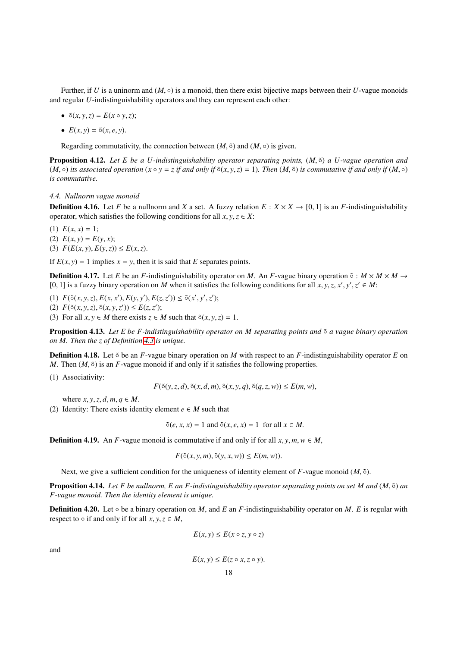Further, if *U* is a uninorm and  $(M, \circ)$  is a monoid, then there exist bijective maps between their *U*-vague monoids and regular *U*-indistinguishability operators and they can represent each other:

- $\tilde{o}(x, y, z) = E(x \circ y, z);$
- $E(x, y) = \tilde{o}(x, e, y)$ .

Regarding commutativity, the connection between  $(M, \tilde{\circ})$  and  $(M, \circ)$  is given.

Proposition 4.12. Let E be a U-indistinguishability operator separating points,  $(M, \tilde{\circ})$  a U-vague operation and  $(M, \circ)$  *its associated operation*  $(x \circ y = z$  *if and only if*  $\delta(x, y, z) = 1$ *). Then*  $(M, \delta)$  *is commutative if and only if*  $(M, \circ)$ *is commutative.*

### *4.4. Nullnorm vague monoid*

**Definition 4.16.** Let *F* be a nullnorm and *X* a set. A fuzzy relation  $E: X \times X \rightarrow [0, 1]$  is an *F*-indistinguishability operator, which satisfies the following conditions for all  $x, y, z \in X$ :

(1)  $E(x, x) = 1$ ; (2)  $E(x, y) = E(y, x);$ (3)  $F(E(x, y), E(y, z)) \le E(x, z).$ 

If  $E(x, y) = 1$  implies  $x = y$ , then it is said that *E* separates points.

**Definition 4.17.** Let *E* be an *F*-indistinguishability operator on *M*. An *F*-vague binary operation  $\tilde{\circ}$  :  $M \times M \times M \rightarrow$ [0, 1] is a fuzzy binary operation on *M* when it satisfies the following conditions for all *x*, *y*, *z*, *x'*, *y'*, *z'*  $\in$  *M*:

(1)  $F(\tilde{\circ}(x, y, z), E(x, x'), E(y, y'), E(z, z')) \leq \tilde{\circ}(x', y', z');$ (2)  $F(\tilde{\circ}(x, y, z), \tilde{\circ}(x, y, z')) \le E(z, z');$ (3) For all  $x, y \in M$  there exists  $z \in M$  such that  $\tilde{\circ}(x, y, z) = 1$ .

Proposition 4.13. *Let E be F-indistinguishability operator on M separating points and* ◦˜ *a vague binary operation on M. Then the z of Definition [4.3](#page-12-1) is unique.*

Definition 4.18. Let ˜◦ be an *F*-vague binary operation on *M* with respect to an *F*-indistinguishability operator *E* on *M*. Then  $(M, \tilde{\circ})$  is an *F*-vague monoid if and only if it satisfies the following properties.

(1) Associativity:

$$
F(\tilde{\circ}(y,z,d),\tilde{\circ}(x,d,m),\tilde{\circ}(x,y,q),\tilde{\circ}(q,z,w)) \le E(m,w),
$$

where  $x, y, z, d, m, q \in M$ .

(2) Identity: There exists identity element  $e \in M$  such that

$$
\tilde{\circ}(e, x, x) = 1 \text{ and } \tilde{\circ}(x, e, x) = 1 \text{ for all } x \in M.
$$

**Definition 4.19.** An *F*-vague monoid is commutative if and only if for all  $x, y, m, w \in M$ ,

 $F(\tilde{\circ}(x, y, m), \tilde{\circ}(y, x, w)) \leq E(m, w)$ .

Next, we give a sufficient condition for the uniqueness of identity element of *F*-vague monoid (*M*,  $\delta$ ).

Proposition 4.14. *Let F be nullnorm, E an F-indistinguishability operator separating points on set M and* (*M*, ◦˜) *an F-vague monoid. Then the identity element is unique.*

**Definition 4.20.** Let  $\circ$  be a binary operation on *M*, and *E* an *F*-indistinguishability operator on *M*. *E* is regular with respect to  $\circ$  if and only if for all  $x, y, z \in M$ ,

$$
E(x, y) \le E(x \circ z, y \circ z)
$$

and

 $E(x, y) \leq E(z \circ x, z \circ y).$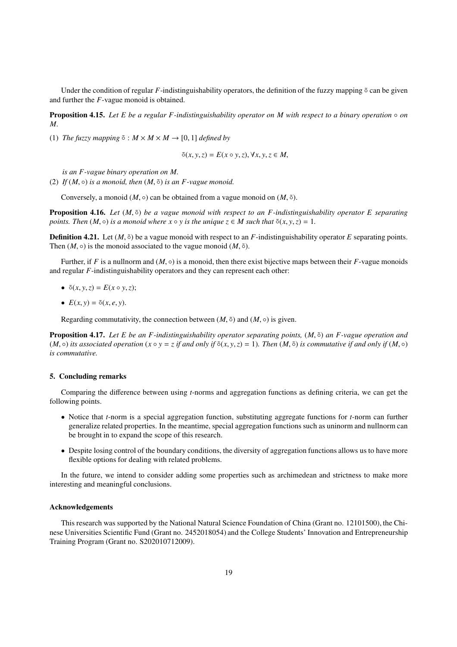Under the condition of regular *F*-indistinguishability operators, the definition of the fuzzy mapping  $\delta$  can be given and further the *F*-vague monoid is obtained.

Proposition 4.15. *Let E be a regular F-indistinguishability operator on M with respect to a binary operation* ◦ *on M.*

(1) *The fuzzy mapping*  $\tilde{\circ}$  :  $M \times M \times M \rightarrow [0, 1]$  *defined by* 

$$
\tilde{\circ}(x, y, z) = E(x \circ y, z), \forall x, y, z \in M,
$$

*is an F-vague binary operation on M.*

(2) *If*  $(M, \circ)$  *is a monoid, then*  $(M, \tilde{\circ})$  *is an F-vague monoid.* 

Conversely, a monoid  $(M, \circ)$  can be obtained from a vague monoid on  $(M, \tilde{\circ})$ .

**Proposition 4.16.** Let  $(M, \tilde{c})$  be a vague monoid with respect to an F-indistinguishability operator E separating *points. Then*  $(M, \circ)$  *is a monoid where*  $x \circ y$  *is the unique*  $z \in M$  *such that*  $\tilde{\circ}(x, y, z) = 1$ *.* 

**Definition 4.21.** Let  $(M, \tilde{\circ})$  be a vague monoid with respect to an *F*-indistinguishability operator *E* separating points. Then  $(M, \circ)$  is the monoid associated to the vague monoid  $(M, \tilde{\circ})$ .

Further, if *F* is a nullnorm and  $(M, \circ)$  is a monoid, then there exist bijective maps between their *F*-vague monoids and regular *F*-indistinguishability operators and they can represent each other:

- $\tilde{o}(x, y, z) = E(x \circ y, z);$
- $E(x, y) = \tilde{o}(x, e, y)$ .

Regarding commutativity, the connection between  $(M, \tilde{\circ})$  and  $(M, \circ)$  is given.

Proposition 4.17. Let E be an F-indistinguishability operator separating points,  $(M, \tilde{\circ})$  an F-vague operation and  $(M, \circ)$  *its associated operation*  $(x \circ y = z$  *if and only if*  $\delta(x, y, z) = 1$ *). Then*  $(M, \delta)$  *is commutative if and only if*  $(M, \circ)$ *is commutative.*

# <span id="page-18-0"></span>5. Concluding remarks

Comparing the difference between using *t*-norms and aggregation functions as defining criteria, we can get the following points.

- Notice that *t*-norm is a special aggregation function, substituting aggregate functions for *t*-norm can further generalize related properties. In the meantime, special aggregation functions such as uninorm and nullnorm can be brought in to expand the scope of this research.
- Despite losing control of the boundary conditions, the diversity of aggregation functions allows us to have more flexible options for dealing with related problems.

In the future, we intend to consider adding some properties such as archimedean and strictness to make more interesting and meaningful conclusions.

#### Acknowledgements

This research was supported by the National Natural Science Foundation of China (Grant no. 12101500), the Chinese Universities Scientific Fund (Grant no. 2452018054) and the College Students' Innovation and Entrepreneurship Training Program (Grant no. S202010712009).